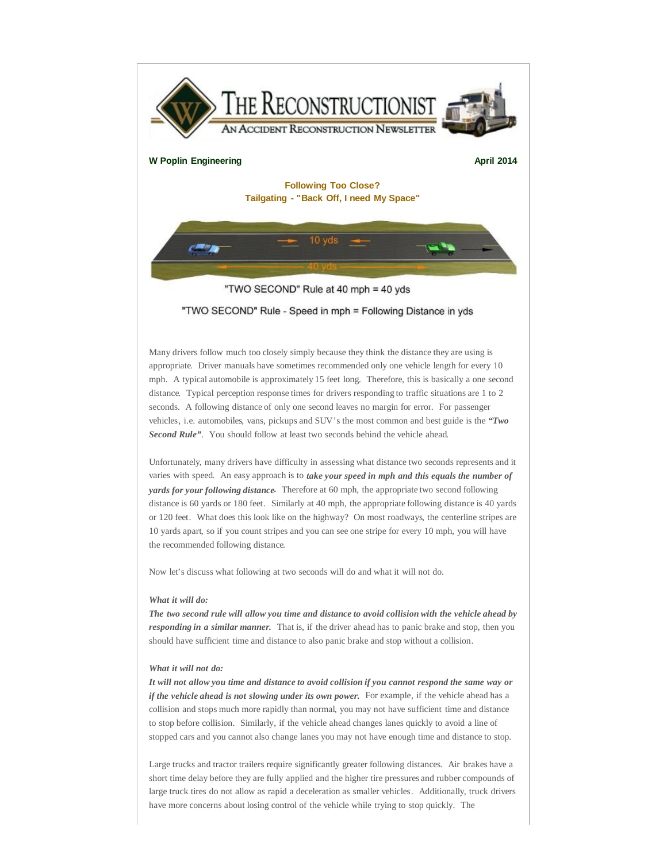

Many drivers follow much too closely simply because they think the distance they are using is appropriate. Driver manuals have sometimes recommended only one vehicle length for every 10 mph. A typical automobile is approximately 15 feet long. Therefore, this is basically a one second distance. Typical perception response times for drivers responding to traffic situations are 1 to 2 seconds. A following distance of only one second leaves no margin for error. For passenger vehicles, i.e. automobiles, vans, pickups and SUV's the most common and best guide is the *"Two Second Rule"*. You should follow at least two seconds behind the vehicle ahead.

Unfortunately, many drivers have difficulty in assessing what distance two seconds represents and it varies with speed. An easy approach is to *take your speed in mph and this equals the number of yards for your following distance***.** Therefore at 60 mph, the appropriate two second following distance is 60 yards or 180 feet. Similarly at 40 mph, the appropriate following distance is 40 yards or 120 feet. What does this look like on the highway? On most roadways, the centerline stripes are 10 yards apart, so if you count stripes and you can see one stripe for every 10 mph, you will have the recommended following distance.

Now let's discuss what following at two seconds will do and what it will not do.

## *What it will do:*

*The two second rule will allow you time and distance to avoid collision with the vehicle ahead by responding in a similar manner.* That is, if the driver ahead has to panic brake and stop, then you should have sufficient time and distance to also panic brake and stop without a collision.

## *What it will not do:*

It will not allow you time and distance to avoid collision if you cannot respond the same way or *if the vehicle ahead is not slowing under its own power.* For example, if the vehicle ahead has a collision and stops much more rapidly than normal, you may not have sufficient time and distance to stop before collision. Similarly, if the vehicle ahead changes lanes quickly to avoid a line of stopped cars and you cannot also change lanes you may not have enough time and distance to stop.

Large trucks and tractor trailers require significantly greater following distances. Air brakes have a short time delay before they are fully applied and the higher tire pressures and rubber compounds of large truck tires do not allow as rapid a deceleration as smaller vehicles. Additionally, truck drivers have more concerns about losing control of the vehicle while trying to stop quickly. The